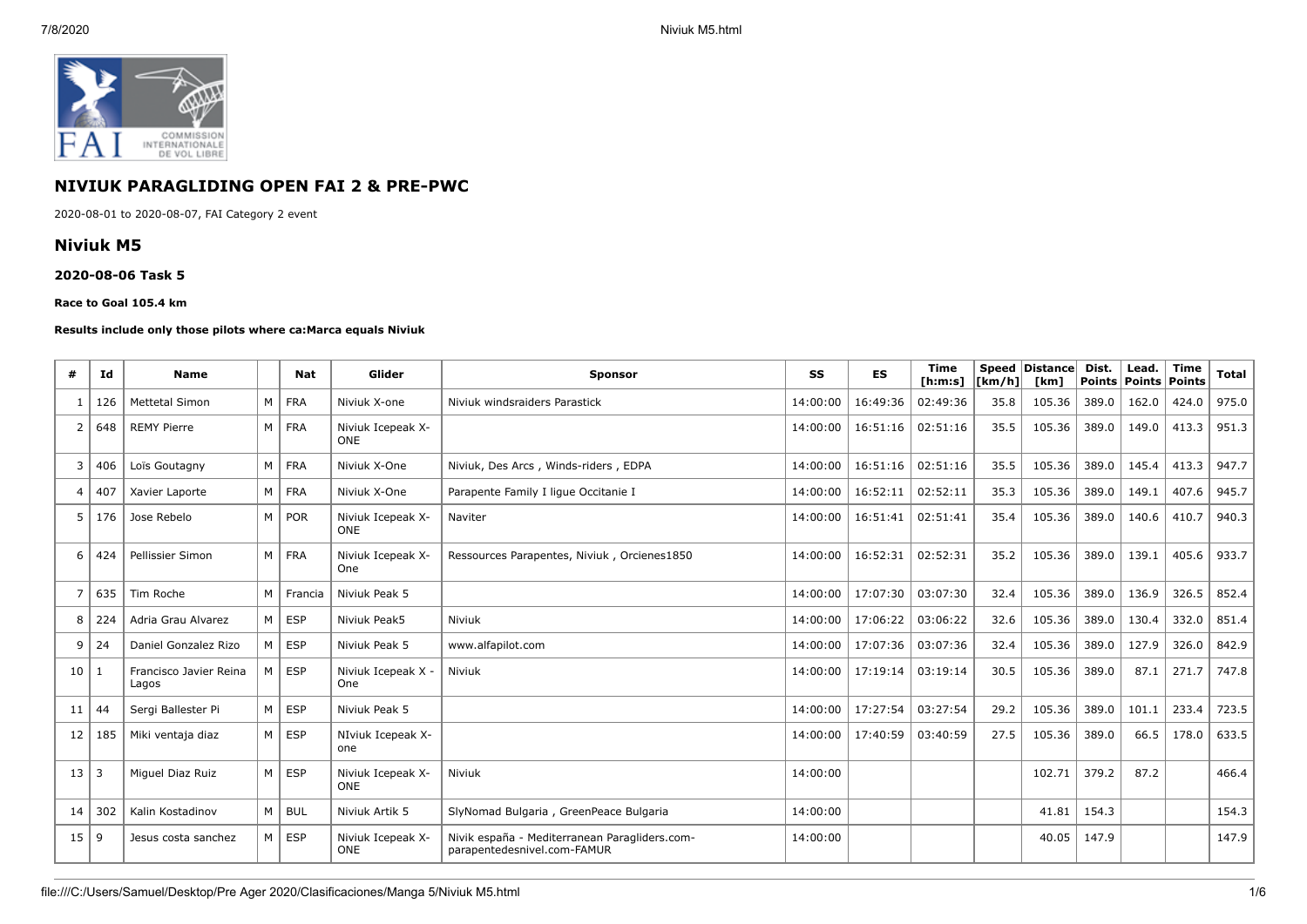

# **NIVIUK PARAGLIDING OPEN FAI 2 & PRE-PWC**

2020-08-01 to 2020-08-07, FAI Category 2 event

### **Niviuk M5**

#### **2020-08-06 Task 5**

#### **Race to Goal 105.4 km**

#### **Results include only those pilots where ca:Marca equals Niviuk**

| #              | Id  | Name                            |   | Nat        | Glider                          | <b>Sponsor</b>                                                               | SS       | <b>ES</b> | <b>Time</b><br>[ h: m: s] | <b>Speed</b><br>[km/h] | <b>Distance</b><br>[km] | Dist.<br>Points | Lead.<br>Points | <b>Time</b><br>Points | <b>Total</b> |
|----------------|-----|---------------------------------|---|------------|---------------------------------|------------------------------------------------------------------------------|----------|-----------|---------------------------|------------------------|-------------------------|-----------------|-----------------|-----------------------|--------------|
|                | 126 | <b>Mettetal Simon</b>           | M | <b>FRA</b> | Niviuk X-one                    | Niviuk windsraiders Parastick                                                | 14:00:00 | 16:49:36  | 02:49:36                  | 35.8                   | 105.36                  | 389.0           | 162.0           | 424.0                 | 975.0        |
| $\overline{2}$ | 648 | <b>REMY Pierre</b>              | M | <b>FRA</b> | Niviuk Icepeak X-<br><b>ONE</b> |                                                                              | 14:00:00 | 16:51:16  | 02:51:16                  | 35.5                   | 105.36                  | 389.0           | 149.0           | 413.3                 | 951.3        |
| 3              | 406 | Loïs Goutagny                   | M | <b>FRA</b> | Niviuk X-One                    | Niviuk, Des Arcs, Winds-riders, EDPA                                         | 14:00:00 | 16:51:16  | 02:51:16                  | 35.5                   | 105.36                  | 389.0           | 145.4           | 413.3                 | 947.7        |
| 4              | 407 | Xavier Laporte                  | M | <b>FRA</b> | Niviuk X-One                    | Parapente Family I lique Occitanie I                                         | 14:00:00 | 16:52:11  | 02:52:11                  | 35.3                   | 105.36                  | 389.0           | 149.1           | 407.6                 | 945.7        |
| 5              | 176 | Jose Rebelo                     | M | <b>POR</b> | Niviuk Icepeak X-<br><b>ONE</b> | Naviter                                                                      | 14:00:00 | 16:51:41  | 02:51:41                  | 35.4                   | 105.36                  | 389.0           | 140.6           | 410.7                 | 940.3        |
| 6              | 424 | Pellissier Simon                | M | <b>FRA</b> | Niviuk Icepeak X-<br>One        | Ressources Parapentes, Niviuk, Orcienes1850                                  | 14:00:00 | 16:52:31  | 02:52:31                  | 35.2                   | 105.36                  | 389.0           | 139.1           | 405.6                 | 933.7        |
| 7              | 635 | Tim Roche                       | M | Francia    | Niviuk Peak 5                   |                                                                              | 14:00:00 | 17:07:30  | 03:07:30                  | 32.4                   | 105.36                  | 389.0           | 136.9           | 326.5                 | 852.4        |
| 8              | 224 | Adria Grau Alvarez              | M | <b>ESP</b> | Niviuk Peak5                    | Niviuk                                                                       | 14:00:00 | 17:06:22  | 03:06:22                  | 32.6                   | 105.36                  | 389.0           | 130.4           | 332.0                 | 851.4        |
| 9              | 24  | Daniel Gonzalez Rizo            | M | <b>ESP</b> | Niviuk Peak 5                   | www.alfapilot.com                                                            | 14:00:00 | 17:07:36  | 03:07:36                  | 32.4                   | 105.36                  | 389.0           | 127.9           | 326.0                 | 842.9        |
| 10             | 1   | Francisco Javier Reina<br>Lagos | M | <b>ESP</b> | Niviuk Icepeak X -<br>One       | Niviuk                                                                       | 14:00:00 | 17:19:14  | 03:19:14                  | 30.5                   | 105.36                  | 389.0           | 87.1            | 271.7                 | 747.8        |
| 11             | 44  | Sergi Ballester Pi              | M | <b>ESP</b> | Niviuk Peak 5                   |                                                                              | 14:00:00 | 17:27:54  | 03:27:54                  | 29.2                   | 105.36                  | 389.0           | 101.1           | 233.4                 | 723.5        |
| 12             | 185 | Miki ventaja diaz               | M | <b>ESP</b> | NIviuk Icepeak X-<br>one        |                                                                              | 14:00:00 | 17:40:59  | 03:40:59                  | 27.5                   | 105.36                  | 389.0           | 66.5            | 178.0                 | 633.5        |
| 13             | l 3 | Miguel Diaz Ruiz                | M | <b>ESP</b> | Niviuk Icepeak X-<br><b>ONE</b> | Niviuk                                                                       | 14:00:00 |           |                           |                        | 102.71                  | 379.2           | 87.2            |                       | 466.4        |
| 14             | 302 | Kalin Kostadinov                | M | <b>BUL</b> | Niviuk Artik 5                  | SlyNomad Bulgaria, GreenPeace Bulgaria                                       | 14:00:00 |           |                           |                        | 41.81                   | 154.3           |                 |                       | 154.3        |
| 15             | 9   | Jesus costa sanchez             | M | <b>ESP</b> | Niviuk Icepeak X-<br><b>ONE</b> | Nivik españa - Mediterranean Paragliders.com-<br>parapentedesnivel.com-FAMUR | 14:00:00 |           |                           |                        | 40.05                   | 147.9           |                 |                       | 147.9        |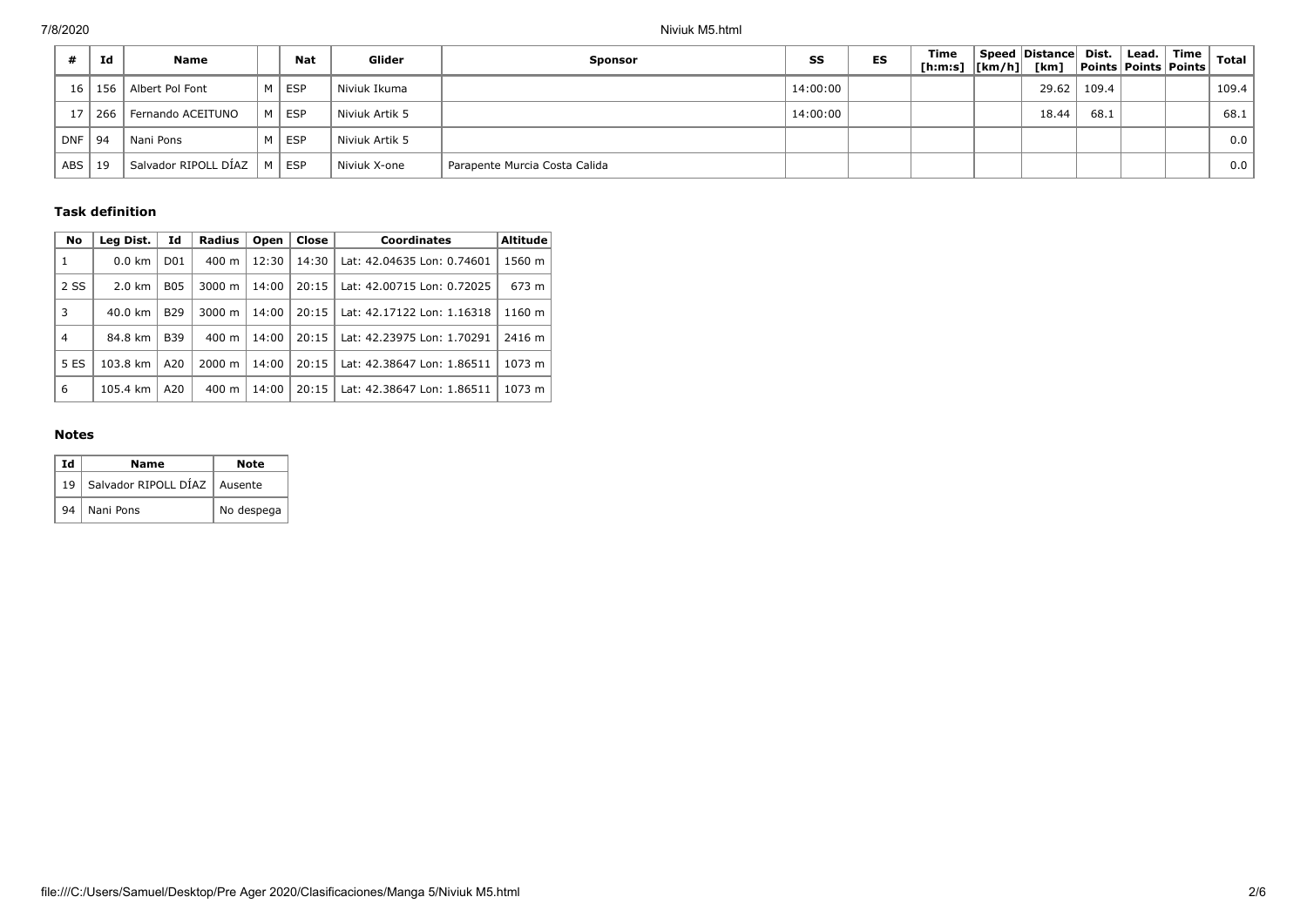|            | Id  | Name                 |      | Nat        | Glider         | <b>Sponsor</b>                | SS       | ES | Time<br>[h:m:s]  [km/h]  [km] | Speed Distance Dist. |       | Lead.<br><b>Points Points Points</b> | Time | Total |
|------------|-----|----------------------|------|------------|----------------|-------------------------------|----------|----|-------------------------------|----------------------|-------|--------------------------------------|------|-------|
| 16         |     | 156 Albert Pol Font  | 'M ∖ | <b>ESP</b> | Niviuk Ikuma   |                               | 14:00:00 |    |                               | 29.62                | 109.4 |                                      |      | 109.4 |
|            | 266 | Fernando ACEITUNO    | M    | <b>ESP</b> | Niviuk Artik 5 |                               | 14:00:00 |    |                               | 18.44                | 68.1  |                                      |      | 68.1  |
| <b>DNF</b> | 94  | Nani Pons            | M    | <b>ESP</b> | Niviuk Artik 5 |                               |          |    |                               |                      |       |                                      |      | 0.0   |
| <b>ABS</b> | 19  | Salvador RIPOLL DÍAZ | M    | <b>ESP</b> | Niviuk X-one   | Parapente Murcia Costa Calida |          |    |                               |                      |       |                                      |      | 0.0   |

### **Task definition**

| No   | Leg Dist.        | Id               | <b>Radius</b>      | Open  | Close | <b>Coordinates</b>         | <b>Altitude</b> |
|------|------------------|------------------|--------------------|-------|-------|----------------------------|-----------------|
| 1    | $0.0 \text{ km}$ | D <sub>0</sub> 1 | 400 m              | 12:30 | 14:30 | Lat: 42.04635 Lon: 0.74601 | 1560 m          |
| 2 SS | $2.0 \text{ km}$ | <b>B05</b>       | $3000 \; \text{m}$ | 14:00 | 20:15 | Lat: 42.00715 Lon: 0.72025 | 673 m           |
| 3    | 40.0 km          | B <sub>29</sub>  | $3000 \; \text{m}$ | 14:00 | 20:15 | Lat: 42.17122 Lon: 1.16318 | 1160 m          |
| 4    | 84.8 km          | <b>B39</b>       | $400 \text{ m}$    | 14:00 | 20:15 | Lat: 42.23975 Lon: 1.70291 | 2416 m          |
| 5 ES | 103.8 km         | A20              | $2000 \; m$        | 14:00 | 20:15 | Lat: 42.38647 Lon: 1.86511 | 1073 m          |
| 6    | 105.4 km         | A20              | 400 m              | 14:00 | 20:15 | Lat: 42.38647 Lon: 1.86511 | 1073 m          |

#### **Notes**

| Ιd | Name                                | Note       |
|----|-------------------------------------|------------|
|    | 19   Salvador RIPOLL DÍAZ   Ausente |            |
| 94 | Nani Pons                           | No despega |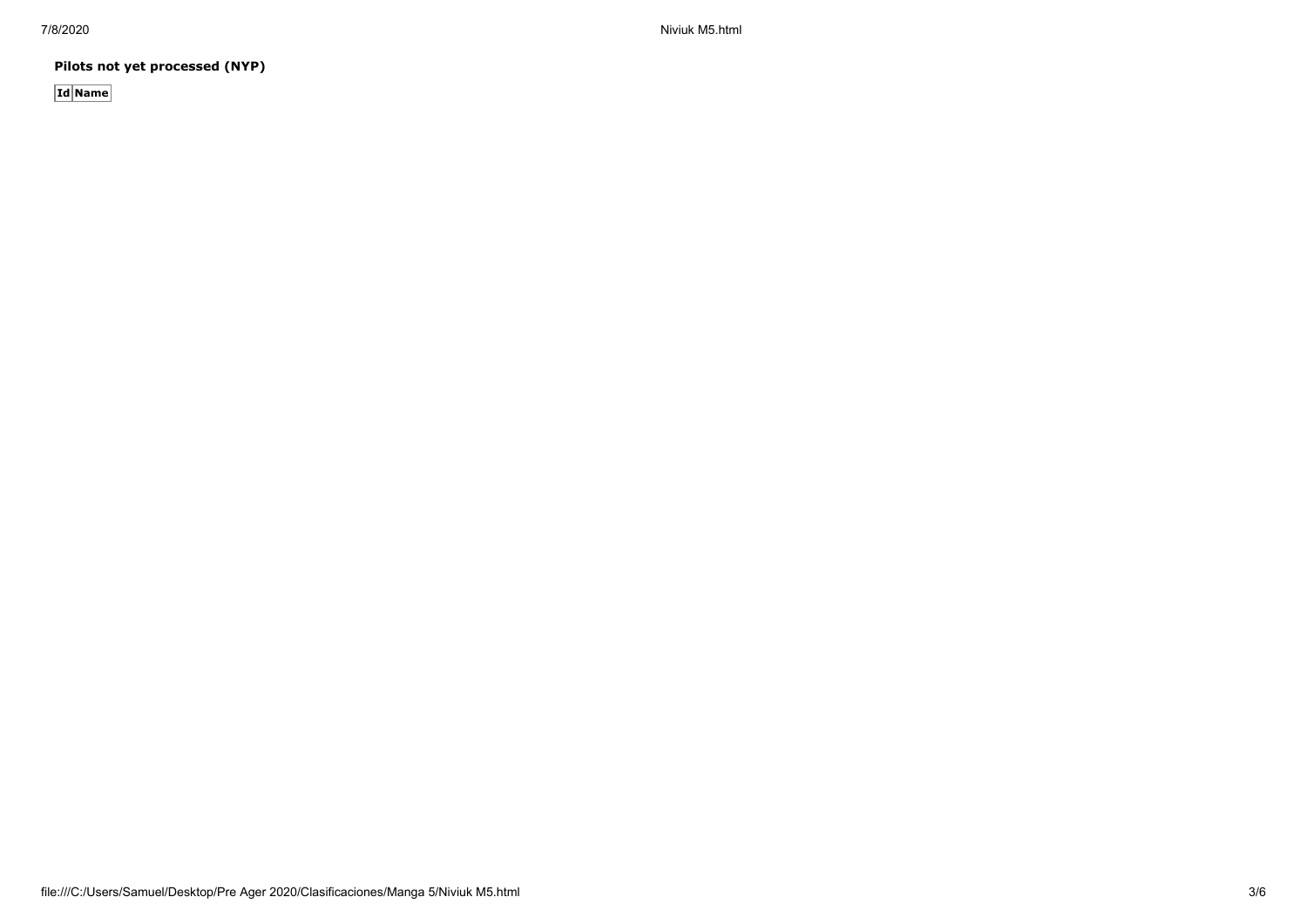7/8/2020 Niviuk M5.html

**Pilots not yet processed (NYP)**

**Id Name**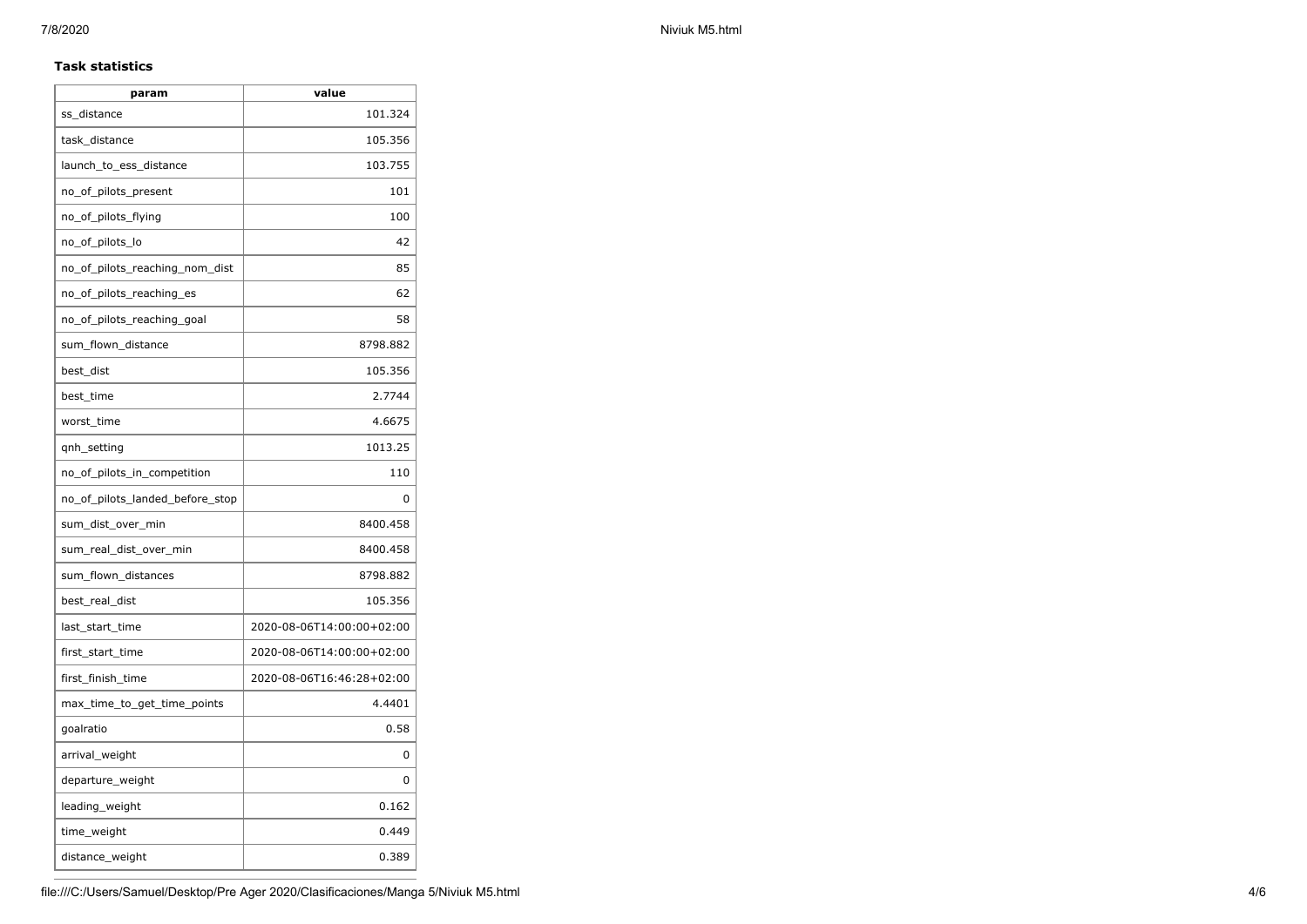#### **Task statistics**

| param                           | value                     |
|---------------------------------|---------------------------|
| ss distance                     | 101.324                   |
| task_distance                   | 105.356                   |
| launch_to_ess_distance          | 103.755                   |
| no_of_pilots_present            | 101                       |
| no_of_pilots_flying             | 100                       |
| no_of_pilots_lo                 | 42                        |
| no_of_pilots_reaching_nom_dist  | 85                        |
| no_of_pilots_reaching_es        | 62                        |
| no_of_pilots_reaching_goal      | 58                        |
| sum_flown_distance              | 8798.882                  |
| best_dist                       | 105.356                   |
| best time                       | 2.7744                    |
| worst time                      | 4.6675                    |
| qnh_setting                     | 1013.25                   |
| no_of_pilots_in_competition     | 110                       |
| no of pilots landed before stop | 0                         |
| sum_dist_over_min               | 8400.458                  |
| sum_real_dist_over_min          | 8400.458                  |
| sum_flown_distances             | 8798.882                  |
| best_real_dist                  | 105.356                   |
| last_start_time                 | 2020-08-06T14:00:00+02:00 |
| first_start_time                | 2020-08-06T14:00:00+02:00 |
| first_finish_time               | 2020-08-06T16:46:28+02:00 |
| max_time_to_get_time_points     | 4.4401                    |
| goalratio                       | 0.58                      |
| arrival_weight                  | 0                         |
| departure_weight                | 0                         |
| leading_weight                  | 0.162                     |
| time_weight                     | 0.449                     |
| distance_weight                 | 0.389                     |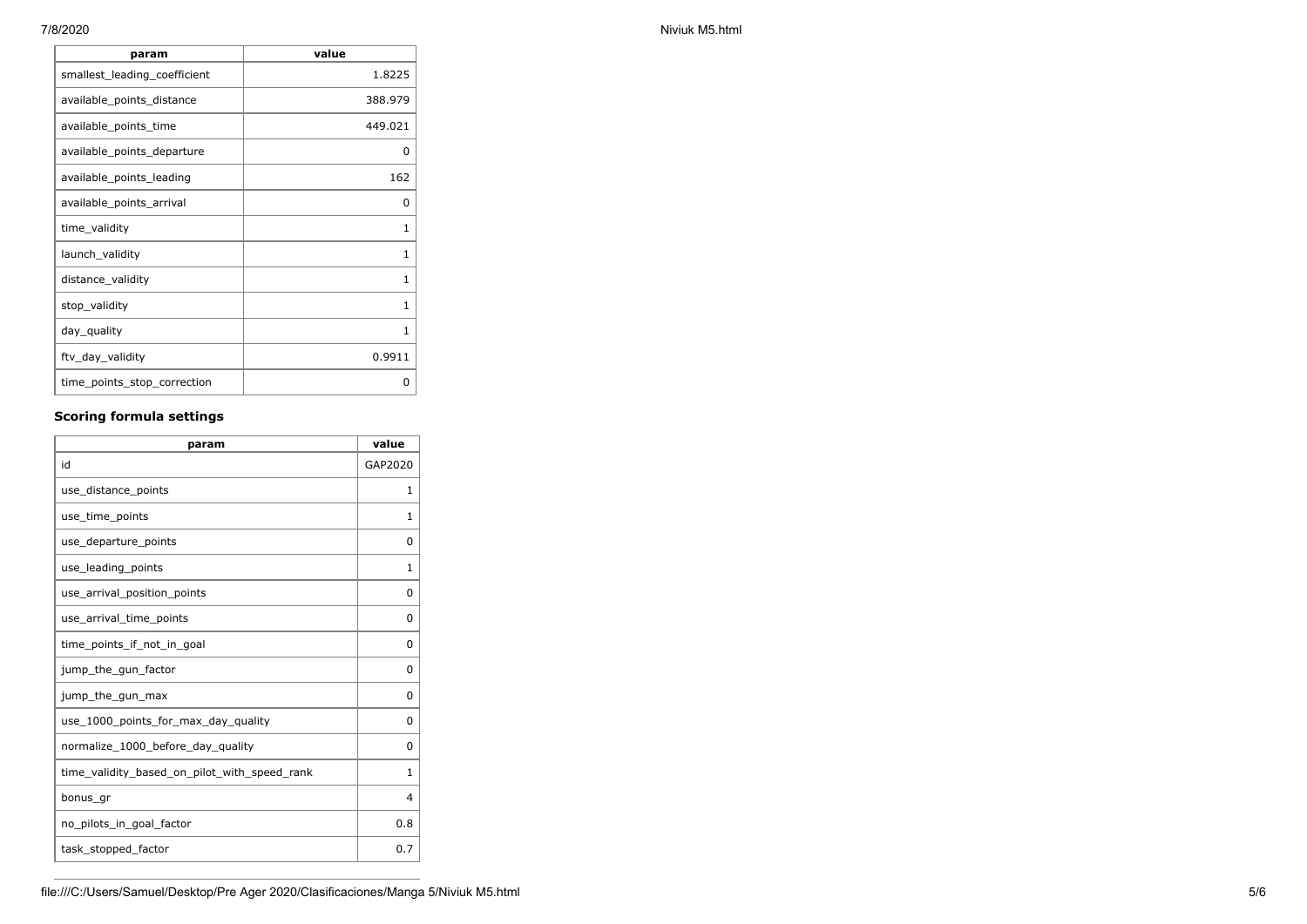| 7/8/2020<br>Niviuk M5.html |
|----------------------------|
|----------------------------|

| param                        | value   |
|------------------------------|---------|
| smallest_leading_coefficient | 1.8225  |
| available_points_distance    | 388.979 |
| available_points_time        | 449.021 |
| available_points_departure   | 0       |
| available_points_leading     | 162     |
| available_points_arrival     | 0       |
| time_validity                | 1       |
| launch_validity              | 1       |
| distance_validity            | 1       |
| stop_validity                | 1       |
| day_quality                  | 1       |
| ftv_day_validity             | 0.9911  |
| time_points_stop_correction  | 0       |

## **Scoring formula settings**

| param                                        | value          |
|----------------------------------------------|----------------|
| id                                           | GAP2020        |
| use_distance_points                          | $\mathbf{1}$   |
| use_time_points                              | 1              |
| use_departure_points                         | $\Omega$       |
| use_leading_points                           | $\mathbf{1}$   |
| use_arrival_position_points                  | 0              |
| use_arrival_time_points                      | 0              |
| time points if not in goal                   | 0              |
| jump_the_gun_factor                          | 0              |
| jump_the_gun_max                             | 0              |
| use_1000_points_for_max_day_quality          | 0              |
| normalize_1000_before_day_quality            | $\Omega$       |
| time_validity_based_on_pilot_with_speed_rank | $\mathbf{1}$   |
| bonus gr                                     | $\overline{4}$ |
| no_pilots_in_goal_factor                     | 0.8            |
| task_stopped_factor                          | 0.7            |